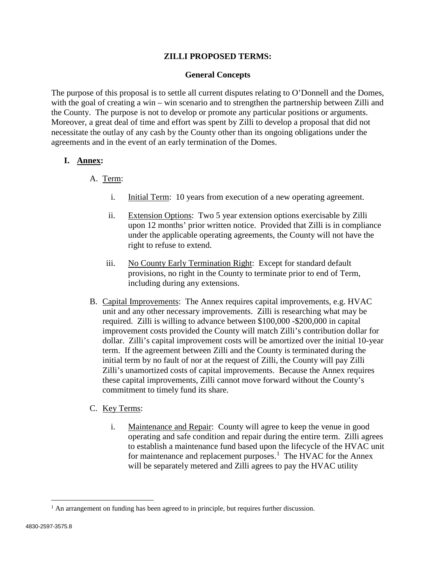## **ZILLI PROPOSED TERMS:**

### **General Concepts**

The purpose of this proposal is to settle all current disputes relating to O'Donnell and the Domes, with the goal of creating a win – win scenario and to strengthen the partnership between Zilli and the County. The purpose is not to develop or promote any particular positions or arguments. Moreover, a great deal of time and effort was spent by Zilli to develop a proposal that did not necessitate the outlay of any cash by the County other than its ongoing obligations under the agreements and in the event of an early termination of the Domes.

## **I. Annex:**

## A. Term:

- i. Initial Term: 10 years from execution of a new operating agreement.
- ii. Extension Options: Two 5 year extension options exercisable by Zilli upon 12 months' prior written notice. Provided that Zilli is in compliance under the applicable operating agreements, the County will not have the right to refuse to extend.
- iii. No County Early Termination Right: Except for standard default provisions, no right in the County to terminate prior to end of Term, including during any extensions.
- B. Capital Improvements: The Annex requires capital improvements, e.g. HVAC unit and any other necessary improvements. Zilli is researching what may be required. Zilli is willing to advance between \$100,000 -\$200,000 in capital improvement costs provided the County will match Zilli's contribution dollar for dollar. Zilli's capital improvement costs will be amortized over the initial 10-year term. If the agreement between Zilli and the County is terminated during the initial term by no fault of nor at the request of Zilli, the County will pay Zilli Zilli's unamortized costs of capital improvements. Because the Annex requires these capital improvements, Zilli cannot move forward without the County's commitment to timely fund its share.

# C. Key Terms:

i. Maintenance and Repair: County will agree to keep the venue in good operating and safe condition and repair during the entire term. Zilli agrees to establish a maintenance fund based upon the lifecycle of the HVAC unit for maintenance and replacement purposes.<sup>[1](#page-0-0)</sup> The HVAC for the Annex will be separately metered and Zilli agrees to pay the HVAC utility

<span id="page-0-0"></span><sup>&</sup>lt;sup>1</sup> An arrangement on funding has been agreed to in principle, but requires further discussion.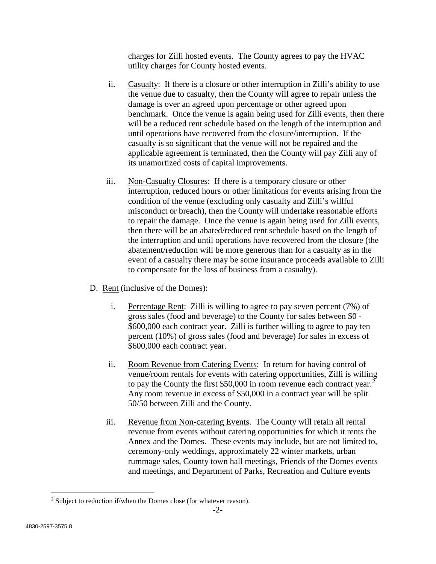charges for Zilli hosted events. The County agrees to pay the HVAC utility charges for County hosted events.

- ii. Casualty: If there is a closure or other interruption in Zilli's ability to use the venue due to casualty, then the County will agree to repair unless the damage is over an agreed upon percentage or other agreed upon benchmark. Once the venue is again being used for Zilli events, then there will be a reduced rent schedule based on the length of the interruption and until operations have recovered from the closure/interruption. If the casualty is so significant that the venue will not be repaired and the applicable agreement is terminated, then the County will pay Zilli any of its unamortized costs of capital improvements.
- iii. Non-Casualty Closures: If there is a temporary closure or other interruption, reduced hours or other limitations for events arising from the condition of the venue (excluding only casualty and Zilli's willful misconduct or breach), then the County will undertake reasonable efforts to repair the damage. Once the venue is again being used for Zilli events, then there will be an abated/reduced rent schedule based on the length of the interruption and until operations have recovered from the closure (the abatement/reduction will be more generous than for a casualty as in the event of a casualty there may be some insurance proceeds available to Zilli to compensate for the loss of business from a casualty).
- D. Rent (inclusive of the Domes):
	- i. Percentage Rent: Zilli is willing to agree to pay seven percent (7%) of gross sales (food and beverage) to the County for sales between \$0 - \$600,000 each contract year. Zilli is further willing to agree to pay ten percent (10%) of gross sales (food and beverage) for sales in excess of \$600,000 each contract year.
	- ii. Room Revenue from Catering Events: In return for having control of venue/room rentals for events with catering opportunities, Zilli is willing to pay the County the first \$50,000 in room revenue each contract year.<sup>[2](#page-1-0)</sup> Any room revenue in excess of \$50,000 in a contract year will be split 50/50 between Zilli and the County.
	- iii. Revenue from Non-catering Events. The County will retain all rental revenue from events without catering opportunities for which it rents the Annex and the Domes. These events may include, but are not limited to, ceremony-only weddings, approximately 22 winter markets, urban rummage sales, County town hall meetings, Friends of the Domes events and meetings, and Department of Parks, Recreation and Culture events

<span id="page-1-0"></span><sup>&</sup>lt;sup>2</sup> Subject to reduction if/when the Domes close (for whatever reason).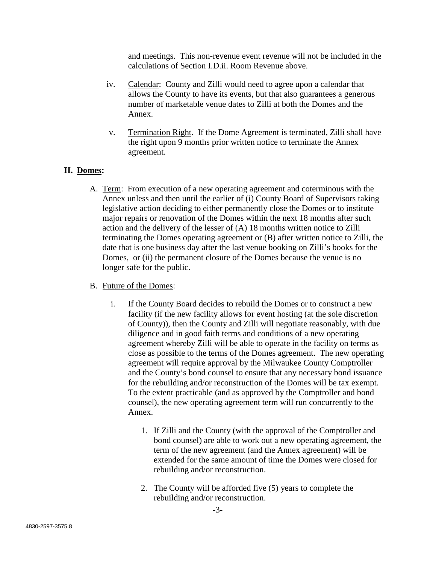and meetings. This non-revenue event revenue will not be included in the calculations of Section I.D.ii. Room Revenue above.

- iv. Calendar: County and Zilli would need to agree upon a calendar that allows the County to have its events, but that also guarantees a generous number of marketable venue dates to Zilli at both the Domes and the Annex.
- v. Termination Right. If the Dome Agreement is terminated, Zilli shall have the right upon 9 months prior written notice to terminate the Annex agreement.

# **II. Domes:**

A. Term: From execution of a new operating agreement and coterminous with the Annex unless and then until the earlier of (i) County Board of Supervisors taking legislative action deciding to either permanently close the Domes or to institute major repairs or renovation of the Domes within the next 18 months after such action and the delivery of the lesser of (A) 18 months written notice to Zilli terminating the Domes operating agreement or (B) after written notice to Zilli, the date that is one business day after the last venue booking on Zilli's books for the Domes, or (ii) the permanent closure of the Domes because the venue is no longer safe for the public.

#### B. Future of the Domes:

- i. If the County Board decides to rebuild the Domes or to construct a new facility (if the new facility allows for event hosting (at the sole discretion of County)), then the County and Zilli will negotiate reasonably, with due diligence and in good faith terms and conditions of a new operating agreement whereby Zilli will be able to operate in the facility on terms as close as possible to the terms of the Domes agreement. The new operating agreement will require approval by the Milwaukee County Comptroller and the County's bond counsel to ensure that any necessary bond issuance for the rebuilding and/or reconstruction of the Domes will be tax exempt. To the extent practicable (and as approved by the Comptroller and bond counsel), the new operating agreement term will run concurrently to the Annex.
	- 1. If Zilli and the County (with the approval of the Comptroller and bond counsel) are able to work out a new operating agreement, the term of the new agreement (and the Annex agreement) will be extended for the same amount of time the Domes were closed for rebuilding and/or reconstruction.
	- 2. The County will be afforded five (5) years to complete the rebuilding and/or reconstruction.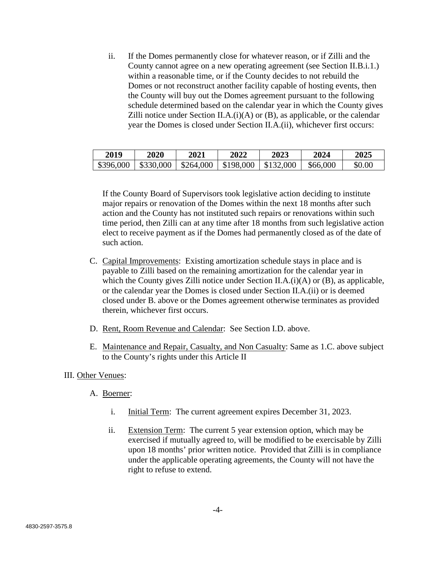ii. If the Domes permanently close for whatever reason, or if Zilli and the County cannot agree on a new operating agreement (see Section II.B.i.1.) within a reasonable time, or if the County decides to not rebuild the Domes or not reconstruct another facility capable of hosting events, then the County will buy out the Domes agreement pursuant to the following schedule determined based on the calendar year in which the County gives Zilli notice under Section II.A. $(i)(A)$  or  $(B)$ , as applicable, or the calendar year the Domes is closed under Section II.A.(ii), whichever first occurs:

| 2019 | 2020 | <b>2021</b> | 2022                                                       | 2023 | 2024     | 2025   |
|------|------|-------------|------------------------------------------------------------|------|----------|--------|
|      |      |             | $$396,000$   \$330,000   \$264,000   \$198,000   \$132,000 |      | \$66,000 | \$0.00 |

If the County Board of Supervisors took legislative action deciding to institute major repairs or renovation of the Domes within the next 18 months after such action and the County has not instituted such repairs or renovations within such time period, then Zilli can at any time after 18 months from such legislative action elect to receive payment as if the Domes had permanently closed as of the date of such action.

- C. Capital Improvements: Existing amortization schedule stays in place and is payable to Zilli based on the remaining amortization for the calendar year in which the County gives Zilli notice under Section II.A. $(i)$ (A) or (B), as applicable, or the calendar year the Domes is closed under Section II.A.(ii) or is deemed closed under B. above or the Domes agreement otherwise terminates as provided therein, whichever first occurs.
- D. Rent, Room Revenue and Calendar: See Section I.D. above.
- E. Maintenance and Repair, Casualty, and Non Casualty: Same as 1.C. above subject to the County's rights under this Article II

#### III. Other Venues:

- A. Boerner:
	- i. Initial Term: The current agreement expires December 31, 2023.
	- ii. Extension Term: The current 5 year extension option, which may be exercised if mutually agreed to, will be modified to be exercisable by Zilli upon 18 months' prior written notice. Provided that Zilli is in compliance under the applicable operating agreements, the County will not have the right to refuse to extend.